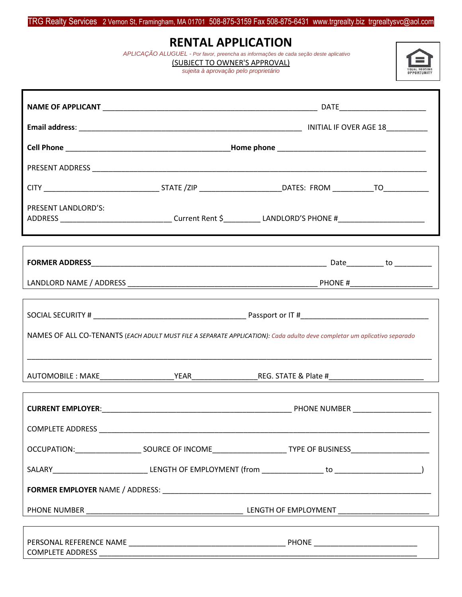### TRG Realty Services 2 Vernon St, Framingham, MA 01701 508-875-3159 Fax 508-875-6431 www.trgrealty.biz trgrealtysvc@aol.com

## **RENTAL APPLICATION**

 *APLICAÇÃO ALUGUEL - Por favor, preencha as informações de cada seção deste aplicativo*

EQUAL HOUSING

(SUBJECT TO OWNER'S APPROVAL)

*sujeita à aprovação pelo proprietário*

| PRESENT LANDLORD'S: |  | ADDRESS __________________________________Current Rent \$_____________LANDLORD'S PHONE #_______________________          |  |
|---------------------|--|--------------------------------------------------------------------------------------------------------------------------|--|
|                     |  |                                                                                                                          |  |
|                     |  |                                                                                                                          |  |
|                     |  | NAMES OF ALL CO-TENANTS (EACH ADULT MUST FILE A SEPARATE APPLICATION): Cada adulto deve completar um aplicativo separado |  |
|                     |  |                                                                                                                          |  |
|                     |  |                                                                                                                          |  |
|                     |  |                                                                                                                          |  |
|                     |  |                                                                                                                          |  |
|                     |  |                                                                                                                          |  |
|                     |  |                                                                                                                          |  |
|                     |  |                                                                                                                          |  |
|                     |  |                                                                                                                          |  |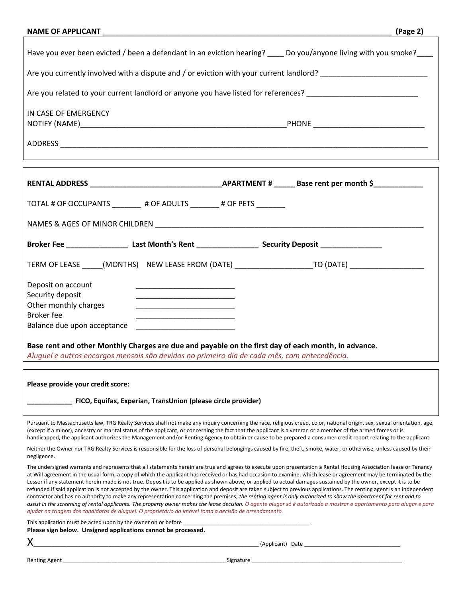| <b>NAME OF APPLICANT</b> |  |  |
|--------------------------|--|--|
|                          |  |  |

| Have you ever been evicted / been a defendant in an eviction hearing? ____ Do you/anyone living with you smoke? |                                   |  |  |
|-----------------------------------------------------------------------------------------------------------------|-----------------------------------|--|--|
| Are you currently involved with a dispute and / or eviction with your current landlord?                         |                                   |  |  |
| Are you related to your current landlord or anyone you have listed for references?                              |                                   |  |  |
| IN CASE OF EMERGENCY                                                                                            | PHONE ___________________________ |  |  |
| ADDRESS                                                                                                         |                                   |  |  |

| TOTAL # OF OCCUPANTS # OF ADULTS # OF PETS                                                                                                                                                          |                                                                                                      |  |  |  |
|-----------------------------------------------------------------------------------------------------------------------------------------------------------------------------------------------------|------------------------------------------------------------------------------------------------------|--|--|--|
|                                                                                                                                                                                                     |                                                                                                      |  |  |  |
| Broker Fee _________________________Last Month's Rent _______________________Security Deposit ________________                                                                                      |                                                                                                      |  |  |  |
|                                                                                                                                                                                                     | TERM OF LEASE ______(MONTHS) NEW LEASE FROM (DATE) _____________________TO (DATE) __________________ |  |  |  |
| Deposit on account<br>Security deposit<br>Other monthly charges<br><b>Broker</b> fee                                                                                                                |                                                                                                      |  |  |  |
| Base rent and other Monthly Charges are due and payable on the first day of each month, in advance.<br>Aluquel e outros encargos mensais são devidos no primeiro dia de cada mês, com antecedência. |                                                                                                      |  |  |  |

**Please provide your credit score:**

**\_\_\_\_\_\_\_\_\_\_\_\_ FICO, Equifax, Experian, TransUnion (please circle provider)**

Pursuant to Massachusetts law, TRG Realty Services shall not make any inquiry concerning the race, religious creed, color, national origin, sex, sexual orientation, age, (except if a minor), ancestry or marital status of the applicant, or concerning the fact that the applicant is a veteran or a member of the armed forces or is handicapped, the applicant authorizes the Management and/or Renting Agency to obtain or cause to be prepared a consumer credit report relating to the applicant.

Neither the Owner nor TRG Realty Services is responsible for the loss of personal belongings caused by fire, theft, smoke, water, or otherwise, unless caused by their negligence.

The undersigned warrants and represents that all statements herein are true and agrees to execute upon presentation a Rental Housing Association lease or Tenancy at Will agreement in the usual form, a copy of which the applicant has received or has had occasion to examine, which lease or agreement may be terminated by the Lessor if any statement herein made is not true. Deposit is to be applied as shown above, or applied to actual damages sustained by the owner, except it is to be refunded if said application is not accepted by the owner. This application and deposit are taken subject to previous applications. The renting agent is an independent contractor and has no authority to make any representation concerning the premises; *the renting agent is only authorized to show the apartment for rent and to assist in the screening of rental applicants. The property owner makes the lease decision. O agente alugar só é autorizado a mostrar o apartamento para alugar e para ajudar na triagem dos candidatos de aluguel. O proprietário do imóvel toma a decisão de arrendamento.*

This application must be acted upon by the owner on or before \_ **Please sign below. Unsigned applications cannot be processed.**

| ĉ | I           |
|---|-------------|
|   | I<br>I<br>I |
|   | I           |
|   |             |

Renting Agent \_\_\_\_\_\_\_\_\_\_\_\_\_\_\_\_\_\_\_\_\_\_\_\_\_\_\_\_\_\_\_\_\_\_\_\_\_\_\_\_\_\_\_\_\_\_\_\_\_\_\_\_\_\_ Signature \_\_\_\_\_\_\_\_\_\_\_\_\_\_\_\_\_\_\_\_\_\_\_\_\_\_\_\_\_\_\_\_\_\_\_\_\_\_\_\_\_\_\_\_\_\_\_\_\_\_

X\_\_\_\_\_\_\_\_\_\_\_\_\_\_\_\_\_\_\_\_\_\_\_\_\_\_\_\_\_\_\_\_\_\_\_\_\_\_\_\_\_\_\_\_\_\_\_\_\_\_\_\_\_\_\_\_\_\_\_\_\_\_\_\_\_\_\_\_\_\_\_\_\_\_\_ (Applicant) Date \_\_\_\_\_\_\_\_\_\_\_\_\_\_\_\_\_\_\_\_\_\_\_\_\_\_\_\_\_\_\_\_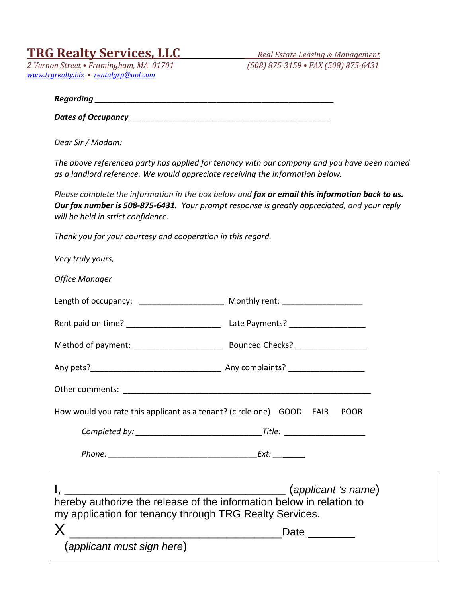# **TRG Realty Services, LLC** *Real Estate Leasing & Management*

*2 Vernon Street • Framingham, MA 01701 (508) 875-3159 • FAX (508) 875-6431 [www.trgrealty.biz](http://www.trgrealty.biz/) • [rentalgrp@aol.com](mailto:rentalgrp@aol.com)*

*Regarding \_\_\_\_\_\_\_\_\_\_\_\_\_\_\_\_\_\_\_\_\_\_\_\_\_\_\_\_\_\_\_\_\_\_\_\_\_\_\_\_\_\_\_\_\_\_\_\_\_\_\_\_\_* 

*Dates of Occupancy\_\_\_\_\_\_\_\_\_\_\_\_\_\_\_\_\_\_\_\_\_\_\_\_\_\_\_\_\_\_\_\_\_\_\_\_\_\_\_\_\_\_\_\_\_*

*Dear Sir / Madam:*

*The above referenced party has applied for tenancy with our company and you have been named as a landlord reference. We would appreciate receiving the information below.*

*Please complete the information in the box below and fax or email this information back to us. Our fax number is 508-875-6431. Your prompt response is greatly appreciated, and your reply will be held in strict confidence.*

*Thank you for your courtesy and cooperation in this regard.*

| Very truly yours,                                                                                                                                                                  |             |
|------------------------------------------------------------------------------------------------------------------------------------------------------------------------------------|-------------|
| <b>Office Manager</b>                                                                                                                                                              |             |
| Length of occupancy: _________________________ Monthly rent: ___________________                                                                                                   |             |
|                                                                                                                                                                                    |             |
|                                                                                                                                                                                    |             |
|                                                                                                                                                                                    |             |
|                                                                                                                                                                                    |             |
| How would you rate this applicant as a tenant? (circle one) GOOD FAIR POOR                                                                                                         |             |
|                                                                                                                                                                                    |             |
|                                                                                                                                                                                    |             |
| $\mathsf{I}, \_\_\_\_\_\_\$ (applicant 's name)<br>hereby authorize the release of the information below in relation to<br>my application for tenancy through TRG Realty Services. |             |
| $\mathsf{X}$                                                                                                                                                                       | Date $\_\_$ |
| (applicant must sign here)                                                                                                                                                         |             |